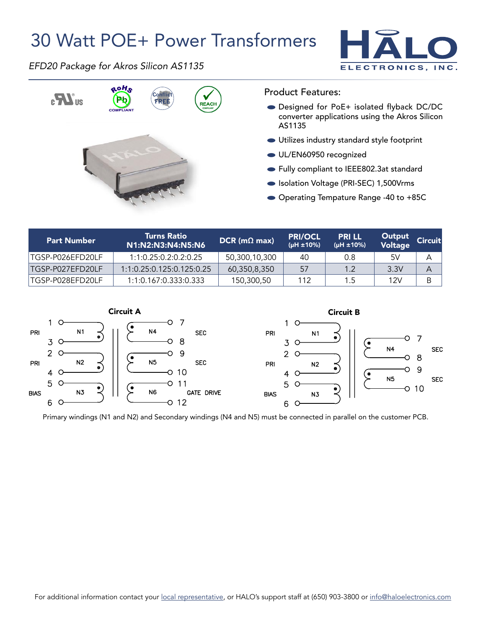## 30 Watt POE+ Power Transformers



*EFD20 Package for Akros Silicon AS1135*



Product Features:

- Designed for PoE+ isolated flyback DC/DC converter applications using the Akros Silicon AS1135
- Utilizes industry standard style footprint
- UL/EN60950 recognized
- Fully compliant to IEEE802.3at standard
- Isolation Voltage (PRI-SEC) 1,500Vrms
- Operating Tempature Range -40 to +85C

| <b>Part Number</b> | <b>Turns Ratio</b><br>N1:N2:N3:N4:N5:N6 | $DCR$ (m $\Omega$ max) | <b>PRI/OCL</b><br>(µH ±10%) | <b>PRILL</b><br>(µH ±10%) | Output<br>Voltage | <b>Circuit</b> |
|--------------------|-----------------------------------------|------------------------|-----------------------------|---------------------------|-------------------|----------------|
| TGSP-P026EFD20LF   | 1:1:0.25:0.2:0.2:0.25                   | 50,300,10,300          | 40                          | 0.8                       | 5V                | А              |
| ITGSP-P027EFD20LF  | 1:1:0.25:0.125:0.125:0.25               | 60,350,8,350           | 57                          | 1.2                       | 3.3V              | A              |
| TGSP-P028EFD20LF   | 1:1:0.167:0.333:0.333                   | 150,300,50             | 112                         | 1.5                       | 12V               | B              |



Primary windings (N1 and N2) and Secondary windings (N4 and N5) must be connected in parallel on the customer PCB.